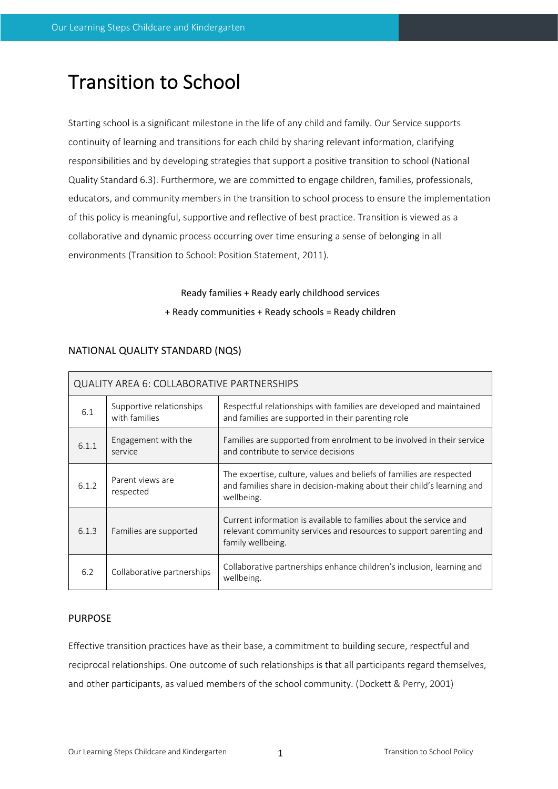## Transition to School

Starting school is a significant milestone in the life of any child and family. Our Service supports continuity of learning and transitions for each child by sharing relevant information, clarifying responsibilities and by developing strategies that support a positive transition to school (National Quality Standard 6.3). Furthermore, we are committed to engage children, families, professionals, educators, and community members in the transition to school process to ensure the implementation of this policy is meaningful, supportive and reflective of best practice. Transition is viewed as a collaborative and dynamic process occurring over time ensuring a sense of belonging in all environments (Transition to School: Position Statement, 2011).

## Ready families + Ready early childhood services + Ready communities + Ready schools = Ready children

| <b>QUALITY AREA 6: COLLABORATIVE PARTNERSHIPS</b> |                                           |                                                                                                                                                               |  |
|---------------------------------------------------|-------------------------------------------|---------------------------------------------------------------------------------------------------------------------------------------------------------------|--|
| 6.1                                               | Supportive relationships<br>with families | Respectful relationships with families are developed and maintained<br>and families are supported in their parenting role                                     |  |
| 6.1.1                                             | Engagement with the<br>service            | Families are supported from enrolment to be involved in their service<br>and contribute to service decisions                                                  |  |
| 6.1.2                                             | Parent views are<br>respected             | The expertise, culture, values and beliefs of families are respected<br>and families share in decision-making about their child's learning and<br>wellbeing.  |  |
| 6.1.3                                             | Families are supported                    | Current information is available to families about the service and<br>relevant community services and resources to support parenting and<br>family wellbeing. |  |
| 6.2                                               | Collaborative partnerships                | Collaborative partnerships enhance children's inclusion, learning and<br>wellbeing.                                                                           |  |

### NATIONAL QUALITY STANDARD (NQS)

#### PURPOSE

Effective transition practices have as their base, a commitment to building secure, respectful and reciprocal relationships. One outcome of such relationships is that all participants regard themselves, and other participants, as valued members of the school community. (Dockett & Perry, 2001)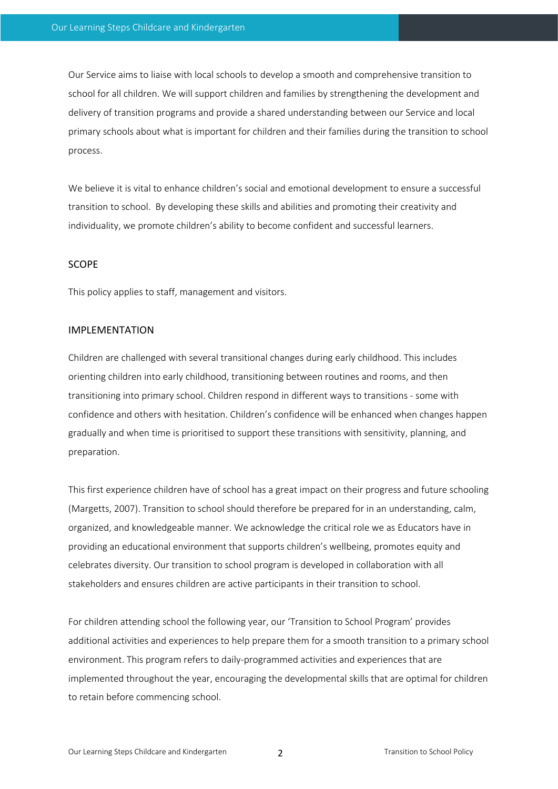Our Service aims to liaise with local schools to develop a smooth and comprehensive transition to school for all children. We will support children and families by strengthening the development and delivery of transition programs and provide a shared understanding between our Service and local primary schools about what is important for children and their families during the transition to school process.

We believe it is vital to enhance children's social and emotional development to ensure a successful transition to school. By developing these skills and abilities and promoting their creativity and individuality, we promote children's ability to become confident and successful learners.

#### SCOPE

This policy applies to staff, management and visitors.

#### IMPLEMENTATION

Children are challenged with several transitional changes during early childhood. This includes orienting children into early childhood, transitioning between routines and rooms, and then transitioning into primary school. Children respond in different ways to transitions - some with confidence and others with hesitation. Children's confidence will be enhanced when changes happen gradually and when time is prioritised to support these transitions with sensitivity, planning, and preparation.

This first experience children have of school has a great impact on their progress and future schooling (Margetts, 2007). Transition to school should therefore be prepared for in an understanding, calm, organized, and knowledgeable manner. We acknowledge the critical role we as Educators have in providing an educational environment that supports children's wellbeing, promotes equity and celebrates diversity. Our transition to school program is developed in collaboration with all stakeholders and ensures children are active participants in their transition to school.

For children attending school the following year, our 'Transition to School Program' provides additional activities and experiences to help prepare them for a smooth transition to a primary school environment. This program refers to daily-programmed activities and experiences that are implemented throughout the year, encouraging the developmental skills that are optimal for children to retain before commencing school.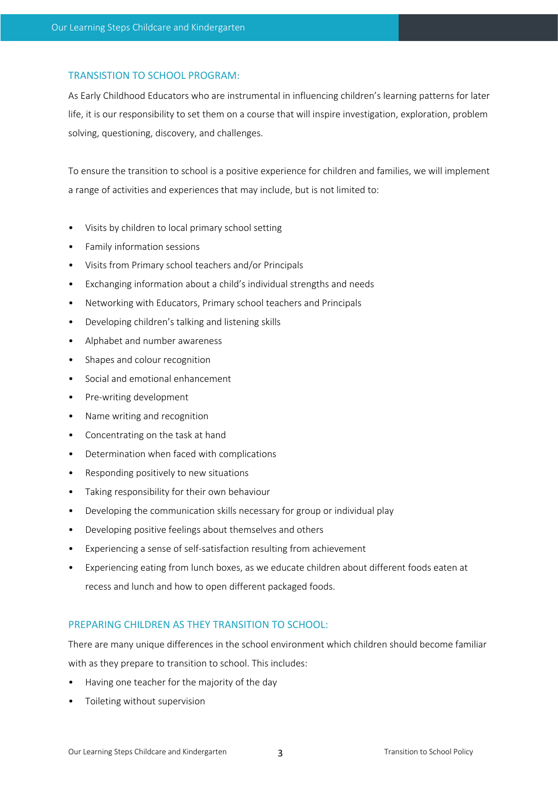#### TRANSISTION TO SCHOOL PROGRAM:

As Early Childhood Educators who are instrumental in influencing children's learning patterns for later life, it is our responsibility to set them on a course that will inspire investigation, exploration, problem solving, questioning, discovery, and challenges.

To ensure the transition to school is a positive experience for children and families, we will implement a range of activities and experiences that may include, but is not limited to:

- Visits by children to local primary school setting
- Family information sessions
- Visits from Primary school teachers and/or Principals
- Exchanging information about a child's individual strengths and needs
- Networking with Educators, Primary school teachers and Principals
- Developing children's talking and listening skills
- Alphabet and number awareness
- Shapes and colour recognition
- Social and emotional enhancement
- Pre-writing development
- Name writing and recognition
- Concentrating on the task at hand
- Determination when faced with complications
- Responding positively to new situations
- Taking responsibility for their own behaviour
- Developing the communication skills necessary for group or individual play
- Developing positive feelings about themselves and others
- Experiencing a sense of self-satisfaction resulting from achievement
- Experiencing eating from lunch boxes, as we educate children about different foods eaten at recess and lunch and how to open different packaged foods.

#### PREPARING CHILDREN AS THEY TRANSITION TO SCHOOL:

There are many unique differences in the school environment which children should become familiar with as they prepare to transition to school. This includes:

- Having one teacher for the majority of the day
- Toileting without supervision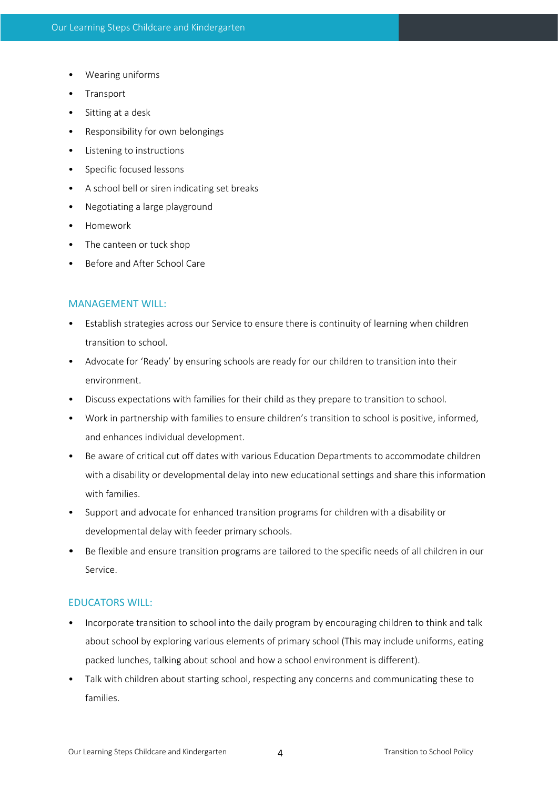- Wearing uniforms
- **Transport**
- Sitting at a desk
- Responsibility for own belongings
- Listening to instructions
- Specific focused lessons
- A school bell or siren indicating set breaks
- Negotiating a large playground
- Homework
- The canteen or tuck shop
- Before and After School Care

#### MANAGEMENT WILL:

- Establish strategies across our Service to ensure there is continuity of learning when children transition to school.
- Advocate for 'Ready' by ensuring schools are ready for our children to transition into their environment.
- Discuss expectations with families for their child as they prepare to transition to school.
- Work in partnership with families to ensure children's transition to school is positive, informed, and enhances individual development.
- Be aware of critical cut off dates with various Education Departments to accommodate children with a disability or developmental delay into new educational settings and share this information with families.
- Support and advocate for enhanced transition programs for children with a disability or developmental delay with feeder primary schools.
- Be flexible and ensure transition programs are tailored to the specific needs of all children in our Service.

#### EDUCATORS WILL:

- Incorporate transition to school into the daily program by encouraging children to think and talk about school by exploring various elements of primary school (This may include uniforms, eating packed lunches, talking about school and how a school environment is different).
- Talk with children about starting school, respecting any concerns and communicating these to families.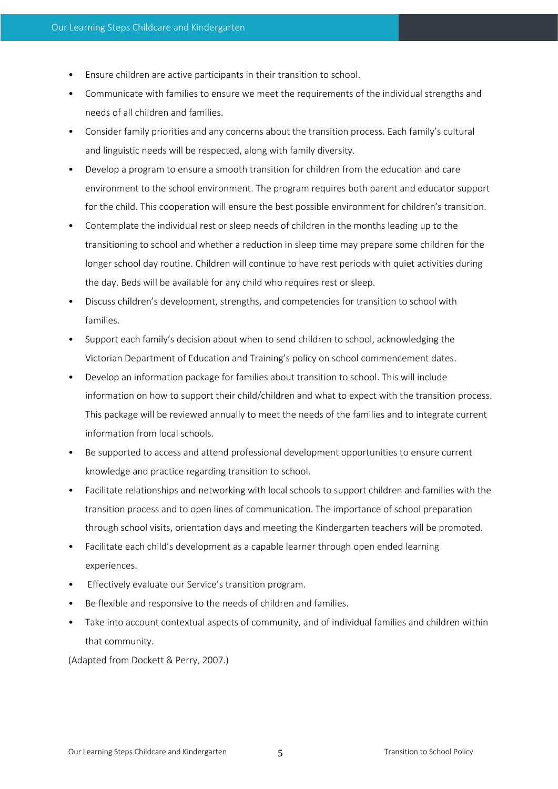- Ensure children are active participants in their transition to school.
- Communicate with families to ensure we meet the requirements of the individual strengths and needs of all children and families.
- Consider family priorities and any concerns about the transition process. Each family's cultural and linguistic needs will be respected, along with family diversity.
- Develop a program to ensure a smooth transition for children from the education and care environment to the school environment. The program requires both parent and educator support for the child. This cooperation will ensure the best possible environment for children's transition.
- Contemplate the individual rest or sleep needs of children in the months leading up to the transitioning to school and whether a reduction in sleep time may prepare some children for the longer school day routine. Children will continue to have rest periods with quiet activities during the day. Beds will be available for any child who requires rest or sleep.
- Discuss children's development, strengths, and competencies for transition to school with families.
- Support each family's decision about when to send children to school, acknowledging the Victorian Department of Education and Training's policy on school commencement dates.
- Develop an information package for families about transition to school. This will include information on how to support their child/children and what to expect with the transition process. This package will be reviewed annually to meet the needs of the families and to integrate current information from local schools.
- Be supported to access and attend professional development opportunities to ensure current knowledge and practice regarding transition to school.
- Facilitate relationships and networking with local schools to support children and families with the transition process and to open lines of communication. The importance of school preparation through school visits, orientation days and meeting the Kindergarten teachers will be promoted.
- Facilitate each child's development as a capable learner through open ended learning experiences.
- Effectively evaluate our Service's transition program.
- Be flexible and responsive to the needs of children and families.
- Take into account contextual aspects of community, and of individual families and children within that community.

(Adapted from Dockett & Perry, 2007.)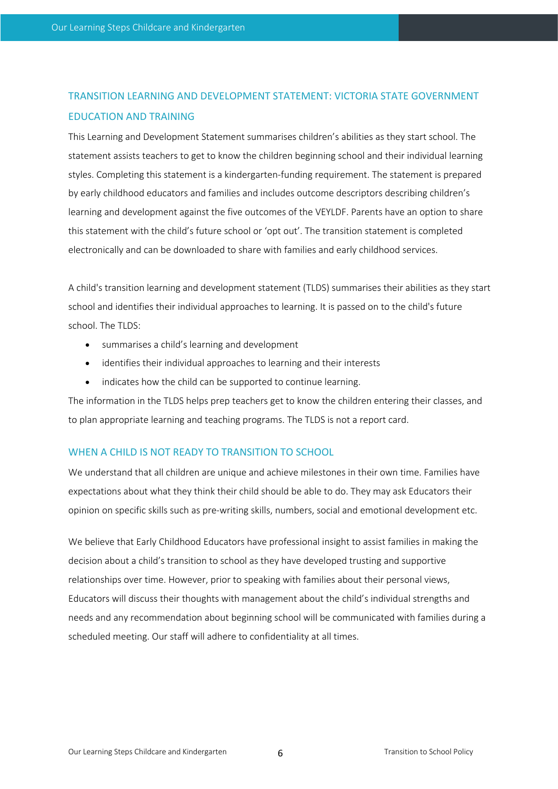## TRANSITION LEARNING AND DEVELOPMENT STATEMENT: VICTORIA STATE GOVERNMENT EDUCATION AND TRAINING

This Learning and Development Statement summarises children's abilities as they start school. The statement assists teachers to get to know the children beginning school and their individual learning styles. Completing this statement is a kindergarten-funding requirement. The statement is prepared by early childhood educators and families and includes outcome descriptors describing children's learning and development against the five outcomes of the VEYLDF. Parents have an option to share this statement with the child's future school or 'opt out'. The transition statement is completed electronically and can be downloaded to share with families and early childhood services.

A child's transition learning and development statement (TLDS) summarises their abilities as they start school and identifies their individual approaches to learning. It is passed on to the child's future school. The TLDS:

- summarises a child's learning and development
- identifies their individual approaches to learning and their interests
- indicates how the child can be supported to continue learning.

The information in the TLDS helps prep teachers get to know the children entering their classes, and to plan appropriate learning and teaching programs. The TLDS is not a report card.

#### WHEN A CHILD IS NOT READY TO TRANSITION TO SCHOOL

We understand that all children are unique and achieve milestones in their own time. Families have expectations about what they think their child should be able to do. They may ask Educators their opinion on specific skills such as pre-writing skills, numbers, social and emotional development etc.

We believe that Early Childhood Educators have professional insight to assist families in making the decision about a child's transition to school as they have developed trusting and supportive relationships over time. However, prior to speaking with families about their personal views, Educators will discuss their thoughts with management about the child's individual strengths and needs and any recommendation about beginning school will be communicated with families during a scheduled meeting. Our staff will adhere to confidentiality at all times.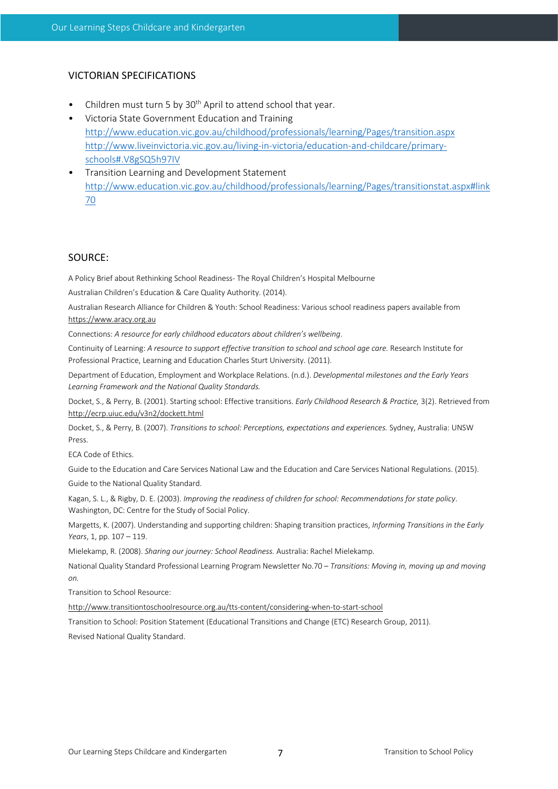#### VICTORIAN SPECIFICATIONS

- Children must turn 5 by 30<sup>th</sup> April to attend school that year.
- Victoria State Government Education and Training http://www.education.vic.gov.au/childhood/professionals/learning/Pages/transition.aspx http://www.liveinvictoria.vic.gov.au/living-in-victoria/education-and-childcare/primaryschools#.V8gSQ5h97IV
- Transition Learning and Development Statement http://www.education.vic.gov.au/childhood/professionals/learning/Pages/transitionstat.aspx#link 70

#### SOURCE:

A Policy Brief about Rethinking School Readiness- The Royal Children's Hospital Melbourne

Australian Children's Education & Care Quality Authority. (2014).

Australian Research Alliance for Children & Youth: School Readiness: Various school readiness papers available from https://www.aracy.org.au

Connections: *A resource for early childhood educators about children's wellbeing*.

Continuity of Learning: *A resource to support effective transition to school and school age care.* Research Institute for Professional Practice, Learning and Education Charles Sturt University. (2011).

Department of Education, Employment and Workplace Relations. (n.d.). *Developmental milestones and the Early Years Learning Framework and the National Quality Standards.*

Docket, S., & Perry, B. (2001). Starting school: Effective transitions. *Early Childhood Research & Practice,* 3(2). Retrieved from http://ecrp.uiuc.edu/v3n2/dockett.html

Docket, S., & Perry, B. (2007). *Transitions to school: Perceptions, expectations and experiences.* Sydney, Australia: UNSW Press.

ECA Code of Ethics.

Guide to the Education and Care Services National Law and the Education and Care Services National Regulations. (2015). Guide to the National Quality Standard.

Kagan, S. L., & Rigby, D. E. (2003). *Improving the readiness of children for school: Recommendations for state policy*. Washington, DC: Centre for the Study of Social Policy.

Margetts, K. (2007). Understanding and supporting children: Shaping transition practices, *Informing Transitions in the Early Years*, 1, pp. 107 – 119.

Mielekamp, R. (2008). *Sharing our journey: School Readiness.* Australia: Rachel Mielekamp.

National Quality Standard Professional Learning Program Newsletter No.70 – *Transitions: Moving in, moving up and moving on.*

Transition to School Resource:

http://www.transitiontoschoolresource.org.au/tts-content/considering-when-to-start-school

Transition to School: Position Statement (Educational Transitions and Change (ETC) Research Group, 2011). Revised National Quality Standard.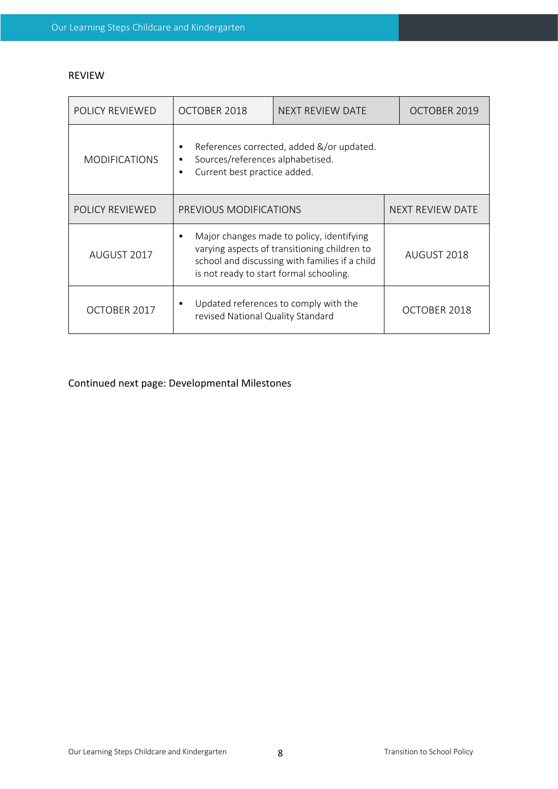#### REVIEW

| POLICY REVIEWED      | OCTOBER 2018                                                                                                                                                                           | NEXT REVIEW DATE | OCTOBER 2019            |
|----------------------|----------------------------------------------------------------------------------------------------------------------------------------------------------------------------------------|------------------|-------------------------|
| <b>MODIFICATIONS</b> | References corrected, added &/or updated.<br>٠<br>Sources/references alphabetised.<br>٠<br>Current best practice added.<br>$\bullet$                                                   |                  |                         |
| POLICY REVIEWED      | PREVIOUS MODIFICATIONS                                                                                                                                                                 |                  | <b>NEXT REVIEW DATE</b> |
| AUGUST 2017          | Major changes made to policy, identifying<br>varying aspects of transitioning children to<br>school and discussing with families if a child<br>is not ready to start formal schooling. |                  | AUGUST 2018             |
| OCTOBER 2017         | Updated references to comply with the<br>revised National Quality Standard                                                                                                             |                  | OCTOBER 2018            |

Continued next page: Developmental Milestones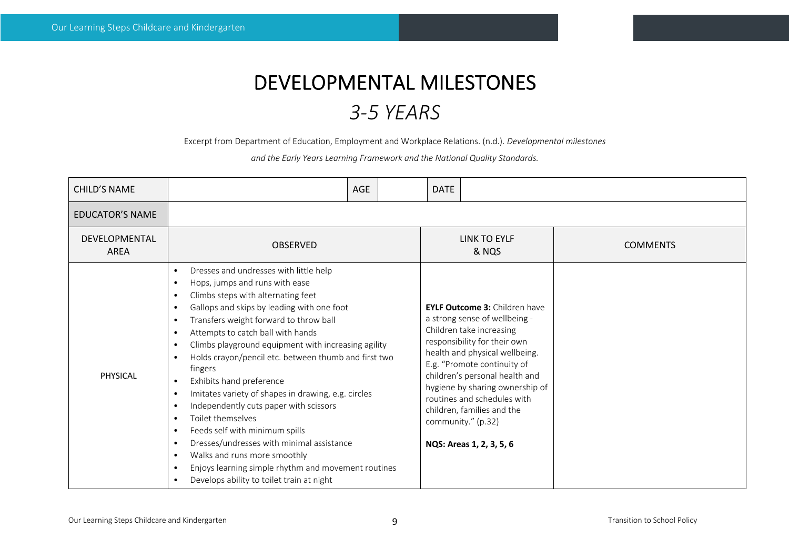# DEVELOPMENTAL MILESTONES *3-5 YEARS*

Excerpt from Department of Education, Employment and Workplace Relations. (n.d.). *Developmental milestones* 

*and the Early Years Learning Framework and the National Quality Standards.*

| <b>CHILD'S NAME</b>                 | AGE                                                                                                                                                                                                                                                                                                                                                                                                                                                                                                                                                                                                                                                                                                                                                                                                                                                                                                                                           | <b>DATE</b>                                                                                                                                                                                                                                                                                                                                                                            |                 |
|-------------------------------------|-----------------------------------------------------------------------------------------------------------------------------------------------------------------------------------------------------------------------------------------------------------------------------------------------------------------------------------------------------------------------------------------------------------------------------------------------------------------------------------------------------------------------------------------------------------------------------------------------------------------------------------------------------------------------------------------------------------------------------------------------------------------------------------------------------------------------------------------------------------------------------------------------------------------------------------------------|----------------------------------------------------------------------------------------------------------------------------------------------------------------------------------------------------------------------------------------------------------------------------------------------------------------------------------------------------------------------------------------|-----------------|
| <b>EDUCATOR'S NAME</b>              |                                                                                                                                                                                                                                                                                                                                                                                                                                                                                                                                                                                                                                                                                                                                                                                                                                                                                                                                               |                                                                                                                                                                                                                                                                                                                                                                                        |                 |
| <b>DEVELOPMENTAL</b><br><b>AREA</b> | <b>OBSERVED</b>                                                                                                                                                                                                                                                                                                                                                                                                                                                                                                                                                                                                                                                                                                                                                                                                                                                                                                                               | <b>LINK TO EYLF</b><br>& NQS                                                                                                                                                                                                                                                                                                                                                           | <b>COMMENTS</b> |
| <b>PHYSICAL</b>                     | Dresses and undresses with little help<br>$\bullet$<br>Hops, jumps and runs with ease<br>$\bullet$<br>Climbs steps with alternating feet<br>$\bullet$<br>Gallops and skips by leading with one foot<br>$\bullet$<br>Transfers weight forward to throw ball<br>$\bullet$<br>Attempts to catch ball with hands<br>$\bullet$<br>Climbs playground equipment with increasing agility<br>$\bullet$<br>Holds crayon/pencil etc. between thumb and first two<br>$\bullet$<br>fingers<br>Exhibits hand preference<br>$\bullet$<br>Imitates variety of shapes in drawing, e.g. circles<br>$\bullet$<br>Independently cuts paper with scissors<br>$\bullet$<br>Toilet themselves<br>$\bullet$<br>Feeds self with minimum spills<br>$\bullet$<br>Dresses/undresses with minimal assistance<br>$\bullet$<br>Walks and runs more smoothly<br>$\bullet$<br>Enjoys learning simple rhythm and movement routines<br>Develops ability to toilet train at night | <b>EYLF Outcome 3: Children have</b><br>a strong sense of wellbeing -<br>Children take increasing<br>responsibility for their own<br>health and physical wellbeing.<br>E.g. "Promote continuity of<br>children's personal health and<br>hygiene by sharing ownership of<br>routines and schedules with<br>children, families and the<br>community." (p.32)<br>NQS: Areas 1, 2, 3, 5, 6 |                 |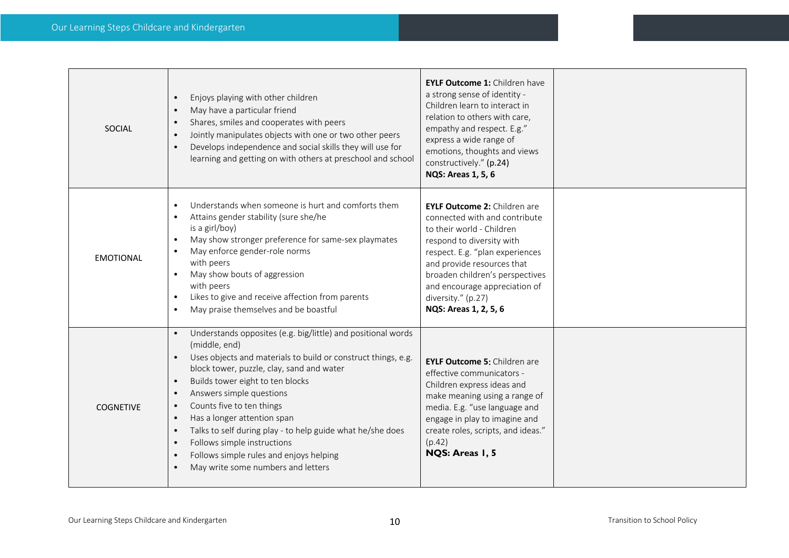| <b>SOCIAL</b>    | Enjoys playing with other children<br>$\bullet$<br>May have a particular friend<br>$\bullet$<br>Shares, smiles and cooperates with peers<br>$\bullet$<br>Jointly manipulates objects with one or two other peers<br>$\bullet$<br>Develops independence and social skills they will use for<br>$\bullet$<br>learning and getting on with others at preschool and school                                                                                                                                                                                                                                                                  | EYLF Outcome 1: Children have<br>a strong sense of identity -<br>Children learn to interact in<br>relation to others with care,<br>empathy and respect. E.g."<br>express a wide range of<br>emotions, thoughts and views<br>constructively." (p.24)<br><b>NQS: Areas 1, 5, 6</b>                                   |  |
|------------------|-----------------------------------------------------------------------------------------------------------------------------------------------------------------------------------------------------------------------------------------------------------------------------------------------------------------------------------------------------------------------------------------------------------------------------------------------------------------------------------------------------------------------------------------------------------------------------------------------------------------------------------------|--------------------------------------------------------------------------------------------------------------------------------------------------------------------------------------------------------------------------------------------------------------------------------------------------------------------|--|
| <b>EMOTIONAL</b> | Understands when someone is hurt and comforts them<br>$\bullet$<br>Attains gender stability (sure she/he<br>$\bullet$<br>is a girl/boy)<br>May show stronger preference for same-sex playmates<br>$\bullet$<br>May enforce gender-role norms<br>$\bullet$<br>with peers<br>May show bouts of aggression<br>$\bullet$<br>with peers<br>Likes to give and receive affection from parents<br>$\bullet$<br>May praise themselves and be boastful<br>$\bullet$                                                                                                                                                                               | <b>EYLF Outcome 2: Children are</b><br>connected with and contribute<br>to their world - Children<br>respond to diversity with<br>respect. E.g. "plan experiences<br>and provide resources that<br>broaden children's perspectives<br>and encourage appreciation of<br>diversity." (p.27)<br>NQS: Areas 1, 2, 5, 6 |  |
| <b>COGNETIVE</b> | Understands opposites (e.g. big/little) and positional words<br>$\bullet$<br>(middle, end)<br>Uses objects and materials to build or construct things, e.g.<br>$\bullet$<br>block tower, puzzle, clay, sand and water<br>Builds tower eight to ten blocks<br>$\bullet$<br>Answers simple questions<br>$\bullet$<br>Counts five to ten things<br>$\bullet$<br>Has a longer attention span<br>$\bullet$<br>Talks to self during play - to help guide what he/she does<br>$\bullet$<br>Follows simple instructions<br>$\bullet$<br>Follows simple rules and enjoys helping<br>$\bullet$<br>May write some numbers and letters<br>$\bullet$ | <b>EYLF Outcome 5: Children are</b><br>effective communicators -<br>Children express ideas and<br>make meaning using a range of<br>media. E.g. "use language and<br>engage in play to imagine and<br>create roles, scripts, and ideas."<br>(p.42)<br>NQS: Areas 1, 5                                               |  |